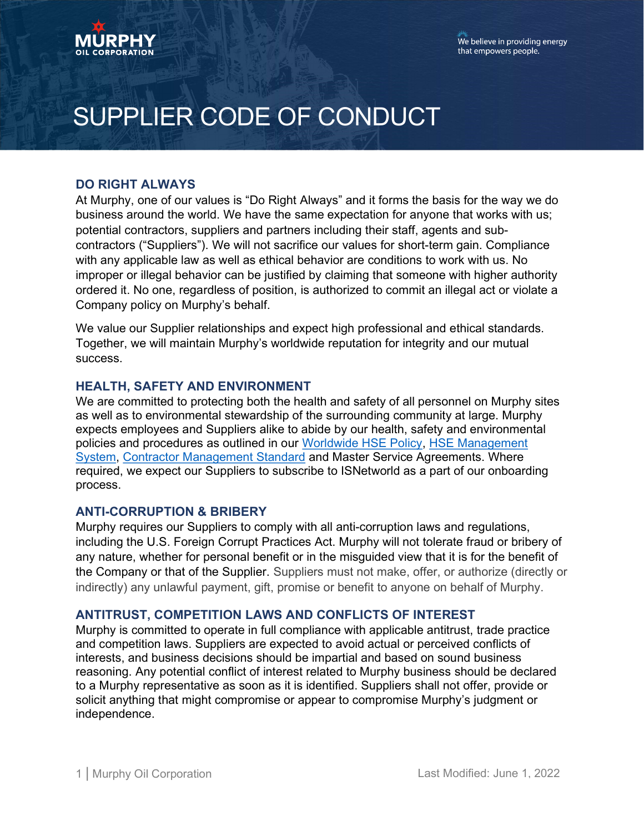

# SUPPLIER CODE OF CONDUCT

## DO RIGHT ALWAYS

At Murphy, one of our values is "Do Right Always" and it forms the basis for the way we do business around the world. We have the same expectation for anyone that works with us; potential contractors, suppliers and partners including their staff, agents and subcontractors ("Suppliers"). We will not sacrifice our values for short-term gain. Compliance with any applicable law as well as ethical behavior are conditions to work with us. No improper or illegal behavior can be justified by claiming that someone with higher authority ordered it. No one, regardless of position, is authorized to commit an illegal act or violate a Company policy on Murphy's behalf.

We value our Supplier relationships and expect high professional and ethical standards. Together, we will maintain Murphy's worldwide reputation for integrity and our mutual success.

## HEALTH, SAFETY AND ENVIRONMENT

We are committed to protecting both the health and safety of all personnel on Murphy sites as well as to environmental stewardship of the surrounding community at large. Murphy expects employees and Suppliers alike to abide by our health, safety and environmental policies and procedures as outlined in our Worldwide HSE Policy, HSE Management System, Contractor Management Standard and Master Service Agreements. Where required, we expect our Suppliers to subscribe to ISNetworld as a part of our onboarding process.

#### ANTI-CORRUPTION & BRIBERY

Murphy requires our Suppliers to comply with all anti-corruption laws and regulations, including the U.S. Foreign Corrupt Practices Act. Murphy will not tolerate fraud or bribery of any nature, whether for personal benefit or in the misguided view that it is for the benefit of the Company or that of the Supplier. Suppliers must not make, offer, or authorize (directly or indirectly) any unlawful payment, gift, promise or benefit to anyone on behalf of Murphy.

#### ANTITRUST, COMPETITION LAWS AND CONFLICTS OF INTEREST

Murphy is committed to operate in full compliance with applicable antitrust, trade practice and competition laws. Suppliers are expected to avoid actual or perceived conflicts of interests, and business decisions should be impartial and based on sound business reasoning. Any potential conflict of interest related to Murphy business should be declared to a Murphy representative as soon as it is identified. Suppliers shall not offer, provide or solicit anything that might compromise or appear to compromise Murphy's judgment or independence.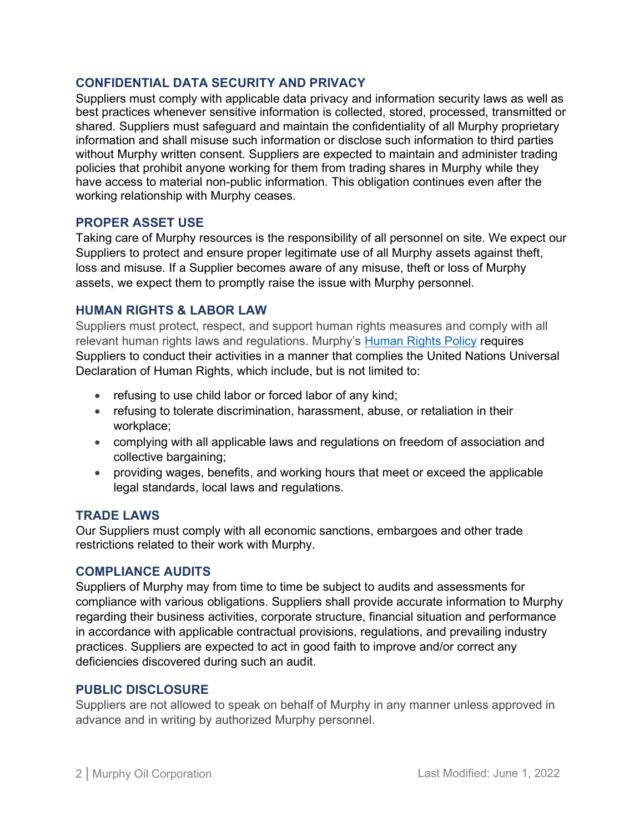## CONFIDENTIAL DATA SECURITY AND PRIVACY

Suppliers must comply with applicable data privacy and information security laws as well as best practices whenever sensitive information is collected, stored, processed, transmitted or shared. Suppliers must safeguard and maintain the confidentiality of all Murphy proprietary information and shall misuse such information or disclose such information to third parties without Murphy written consent. Suppliers are expected to maintain and administer trading policies that prohibit anyone working for them from trading shares in Murphy while they have access to material non-public information. This obligation continues even after the working relationship with Murphy ceases.

# PROPER ASSET USE

Taking care of Murphy resources is the responsibility of all personnel on site. We expect our Suppliers to protect and ensure proper legitimate use of all Murphy assets against theft, loss and misuse. If a Supplier becomes aware of any misuse, theft or loss of Murphy assets, we expect them to promptly raise the issue with Murphy personnel.

# HUMAN RIGHTS & LABOR LAW

Suppliers must protect, respect, and support human rights measures and comply with all relevant human rights laws and regulations. Murphy's Human Rights Policy requires Suppliers to conduct their activities in a manner that complies the United Nations Universal Declaration of Human Rights, which include, but is not limited to:

- refusing to use child labor or forced labor of any kind;
- refusing to tolerate discrimination, harassment, abuse, or retaliation in their workplace;
- complying with all applicable laws and regulations on freedom of association and collective bargaining;
- providing wages, benefits, and working hours that meet or exceed the applicable legal standards, local laws and regulations.

# TRADE LAWS

Our Suppliers must comply with all economic sanctions, embargoes and other trade restrictions related to their work with Murphy.

## COMPLIANCE AUDITS

Suppliers of Murphy may from time to time be subject to audits and assessments for compliance with various obligations. Suppliers shall provide accurate information to Murphy regarding their business activities, corporate structure, financial situation and performance in accordance with applicable contractual provisions, regulations, and prevailing industry practices. Suppliers are expected to act in good faith to improve and/or correct any deficiencies discovered during such an audit.

## PUBLIC DISCLOSURE

Suppliers are not allowed to speak on behalf of Murphy in any manner unless approved in advance and in writing by authorized Murphy personnel.